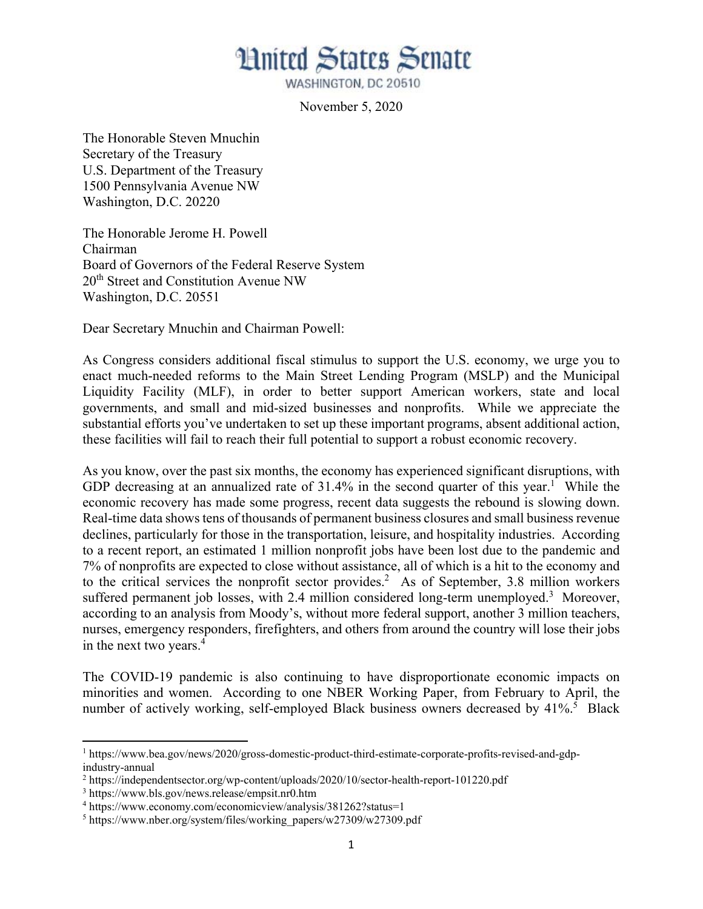

WASHINGTON, DC 20510

November 5, 2020

The Honorable Steven Mnuchin Secretary of the Treasury U.S. Department of the Treasury 1500 Pennsylvania Avenue NW Washington, D.C. 20220

The Honorable Jerome H. Powell Chairman Board of Governors of the Federal Reserve System 20<sup>th</sup> Street and Constitution Avenue NW Washington, D.C. 20551

Dear Secretary Mnuchin and Chairman Powell:

As Congress considers additional fiscal stimulus to support the U.S. economy, we urge you to enact much-needed reforms to the Main Street Lending Program (MSLP) and the Municipal Liquidity Facility (MLF), in order to better support American workers, state and local governments, and small and mid-sized businesses and nonprofits. While we appreciate the substantial efforts you've undertaken to set up these important programs, absent additional action, these facilities will fail to reach their full potential to support a robust economic recovery.

As you know, over the past six months, the economy has experienced significant disruptions, with GDP decreasing at an annualized rate of  $31.4\%$  in the second quarter of this year.<sup>1</sup> While the economic recovery has made some progress, recent data suggests the rebound is slowing down. Real-time data shows tens of thousands of permanent business closures and small business revenue declines, particularly for those in the transportation, leisure, and hospitality industries. According to a recent report, an estimated 1 million nonprofit jobs have been lost due to the pandemic and 7% of nonprofits are expected to close without assistance, all of which is a hit to the economy and to the critical services the nonprofit sector provides.<sup>2</sup> As of September, 3.8 million workers suffered permanent job losses, with 2.4 million considered long-term unemployed.<sup>3</sup> Moreover, according to an analysis from Moody's, without more federal support, another 3 million teachers, nurses, emergency responders, firefighters, and others from around the country will lose their jobs in the next two years.<sup>4</sup>

The COVID-19 pandemic is also continuing to have disproportionate economic impacts on minorities and women. According to one NBER Working Paper, from February to April, the number of actively working, self-employed Black business owners decreased by 41%.<sup>5</sup> Black

<sup>&</sup>lt;sup>1</sup> https://www.bea.gov/news/2020/gross-domestic-product-third-estimate-corporate-profits-revised-and-gdpindustry-annual

<sup>&</sup>lt;sup>2</sup> https://independentsector.org/wp-content/uploads/2020/10/sector-health-report-101220.pdf

<sup>3</sup> https://www.bls.gov/news.release/empsit.nr0.htm

<sup>4</sup> https://www.economy.com/economicview/analysis/381262?status=1

<sup>&</sup>lt;sup>5</sup> https://www.nber.org/system/files/working\_papers/w27309/w27309.pdf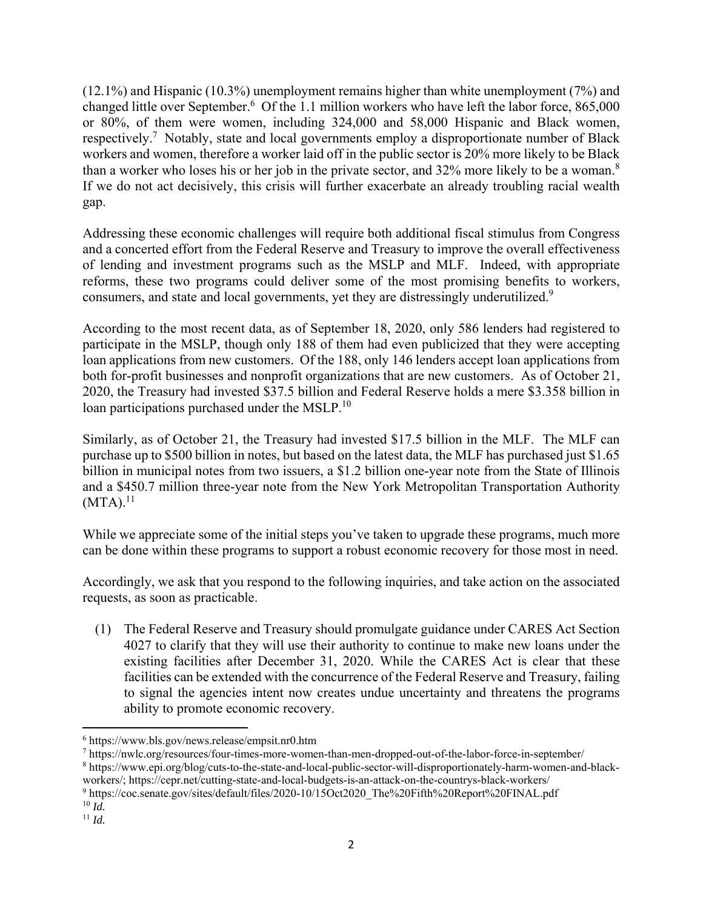(12.1%) and Hispanic (10.3%) unemployment remains higher than white unemployment (7%) and changed little over September.<sup>6</sup> Of the 1.1 million workers who have left the labor force, 865,000 or 80%, of them were women, including 324,000 and 58,000 Hispanic and Black women, respectively.7 Notably, state and local governments employ a disproportionate number of Black workers and women, therefore a worker laid off in the public sector is 20% more likely to be Black than a worker who loses his or her job in the private sector, and 32% more likely to be a woman.<sup>8</sup> If we do not act decisively, this crisis will further exacerbate an already troubling racial wealth gap.

Addressing these economic challenges will require both additional fiscal stimulus from Congress and a concerted effort from the Federal Reserve and Treasury to improve the overall effectiveness of lending and investment programs such as the MSLP and MLF. Indeed, with appropriate reforms, these two programs could deliver some of the most promising benefits to workers, consumers, and state and local governments, yet they are distressingly underutilized.<sup>9</sup>

According to the most recent data, as of September 18, 2020, only 586 lenders had registered to participate in the MSLP, though only 188 of them had even publicized that they were accepting loan applications from new customers. Of the 188, only 146 lenders accept loan applications from both for-profit businesses and nonprofit organizations that are new customers. As of October 21, 2020, the Treasury had invested \$37.5 billion and Federal Reserve holds a mere \$3.358 billion in loan participations purchased under the MSLP.<sup>10</sup>

Similarly, as of October 21, the Treasury had invested \$17.5 billion in the MLF. The MLF can purchase up to \$500 billion in notes, but based on the latest data, the MLF has purchased just \$1.65 billion in municipal notes from two issuers, a \$1.2 billion one-year note from the State of Illinois and a \$450.7 million three-year note from the New York Metropolitan Transportation Authority  $(MTA).<sup>11</sup>$ 

While we appreciate some of the initial steps you've taken to upgrade these programs, much more can be done within these programs to support a robust economic recovery for those most in need.

Accordingly, we ask that you respond to the following inquiries, and take action on the associated requests, as soon as practicable.

(1) The Federal Reserve and Treasury should promulgate guidance under CARES Act Section 4027 to clarify that they will use their authority to continue to make new loans under the existing facilities after December 31, 2020. While the CARES Act is clear that these facilities can be extended with the concurrence of the Federal Reserve and Treasury, failing to signal the agencies intent now creates undue uncertainty and threatens the programs ability to promote economic recovery.

 6 https://www.bls.gov/news.release/empsit.nr0.htm

<sup>7</sup> https://nwlc.org/resources/four-times-more-women-than-men-dropped-out-of-the-labor-force-in-september/

<sup>8</sup> https://www.epi.org/blog/cuts-to-the-state-and-local-public-sector-will-disproportionately-harm-women-and-blackworkers/; https://cepr.net/cutting-state-and-local-budgets-is-an-attack-on-the-countrys-black-workers/

<sup>&</sup>lt;sup>9</sup>https://coc.senate.gov/sites/default/files/2020-10/15Oct2020\_The%20Fifth%20Report%20FINAL.pdf

 $\frac{10}{11}$  *Id.*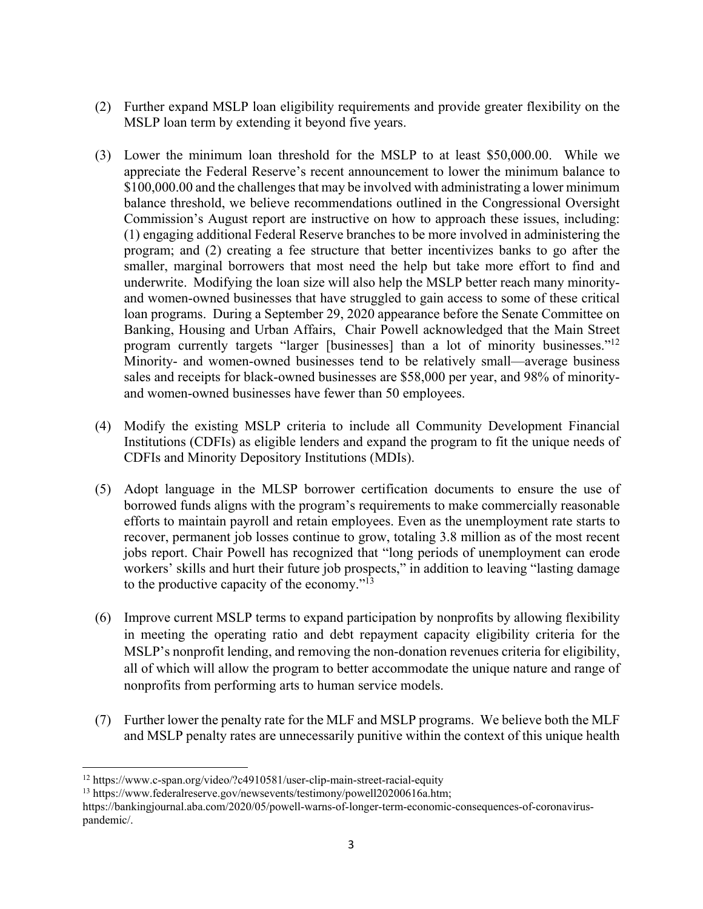- (2) Further expand MSLP loan eligibility requirements and provide greater flexibility on the MSLP loan term by extending it beyond five years.
- (3) Lower the minimum loan threshold for the MSLP to at least \$50,000.00. While we appreciate the Federal Reserve's recent announcement to lower the minimum balance to \$100,000.00 and the challenges that may be involved with administrating a lower minimum balance threshold, we believe recommendations outlined in the Congressional Oversight Commission's August report are instructive on how to approach these issues, including: (1) engaging additional Federal Reserve branches to be more involved in administering the program; and (2) creating a fee structure that better incentivizes banks to go after the smaller, marginal borrowers that most need the help but take more effort to find and underwrite. Modifying the loan size will also help the MSLP better reach many minorityand women-owned businesses that have struggled to gain access to some of these critical loan programs. During a September 29, 2020 appearance before the Senate Committee on Banking, Housing and Urban Affairs, Chair Powell acknowledged that the Main Street program currently targets "larger [businesses] than a lot of minority businesses."<sup>12</sup> Minority- and women-owned businesses tend to be relatively small—average business sales and receipts for black-owned businesses are \$58,000 per year, and 98% of minorityand women-owned businesses have fewer than 50 employees.
- (4) Modify the existing MSLP criteria to include all Community Development Financial Institutions (CDFIs) as eligible lenders and expand the program to fit the unique needs of CDFIs and Minority Depository Institutions (MDIs).
- (5) Adopt language in the MLSP borrower certification documents to ensure the use of borrowed funds aligns with the program's requirements to make commercially reasonable efforts to maintain payroll and retain employees. Even as the unemployment rate starts to recover, permanent job losses continue to grow, totaling 3.8 million as of the most recent jobs report. Chair Powell has recognized that "long periods of unemployment can erode workers' skills and hurt their future job prospects," in addition to leaving "lasting damage to the productive capacity of the economy."<sup>13</sup>
- (6) Improve current MSLP terms to expand participation by nonprofits by allowing flexibility in meeting the operating ratio and debt repayment capacity eligibility criteria for the MSLP's nonprofit lending, and removing the non-donation revenues criteria for eligibility, all of which will allow the program to better accommodate the unique nature and range of nonprofits from performing arts to human service models.
- (7) Further lower the penalty rate for the MLF and MSLP programs. We believe both the MLF and MSLP penalty rates are unnecessarily punitive within the context of this unique health

<sup>12</sup> https://www.c-span.org/video/?c4910581/user-clip-main-street-racial-equity

<sup>&</sup>lt;sup>13</sup> https://www.federalreserve.gov/newsevents/testimony/powell20200616a.htm;

https://bankingjournal.aba.com/2020/05/powell-warns-of-longer-term-economic-consequences-of-coronaviruspandemic/.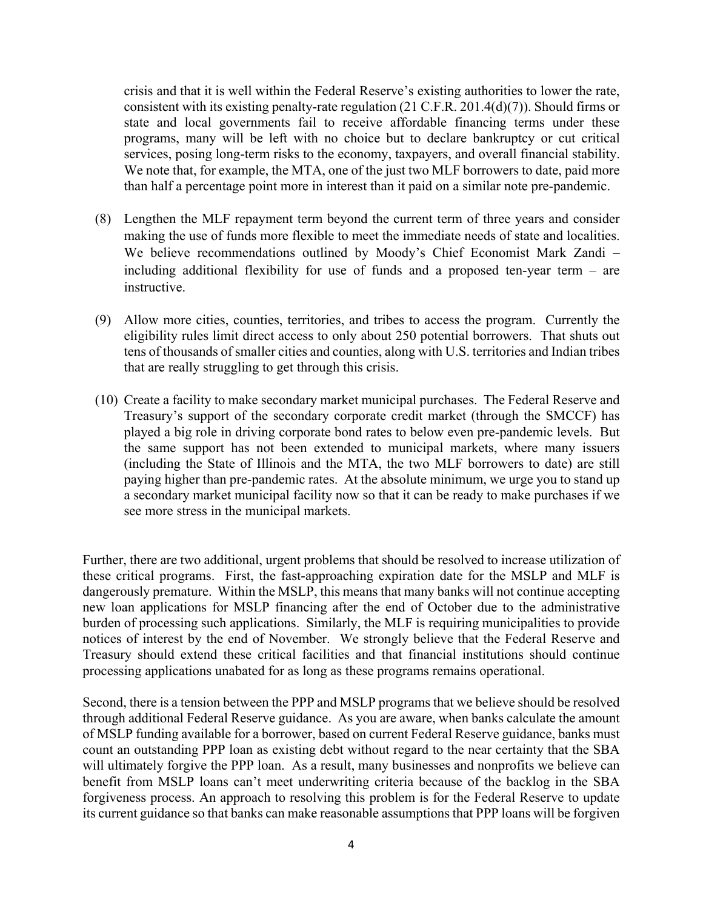crisis and that it is well within the Federal Reserve's existing authorities to lower the rate, consistent with its existing penalty-rate regulation (21 C.F.R. 201.4(d)(7)). Should firms or state and local governments fail to receive affordable financing terms under these programs, many will be left with no choice but to declare bankruptcy or cut critical services, posing long-term risks to the economy, taxpayers, and overall financial stability. We note that, for example, the MTA, one of the just two MLF borrowers to date, paid more than half a percentage point more in interest than it paid on a similar note pre-pandemic.

- (8) Lengthen the MLF repayment term beyond the current term of three years and consider making the use of funds more flexible to meet the immediate needs of state and localities. We believe recommendations outlined by Moody's Chief Economist Mark Zandi – including additional flexibility for use of funds and a proposed ten-year term – are instructive.
- (9) Allow more cities, counties, territories, and tribes to access the program. Currently the eligibility rules limit direct access to only about 250 potential borrowers. That shuts out tens of thousands of smaller cities and counties, along with U.S. territories and Indian tribes that are really struggling to get through this crisis.
- (10) Create a facility to make secondary market municipal purchases. The Federal Reserve and Treasury's support of the secondary corporate credit market (through the SMCCF) has played a big role in driving corporate bond rates to below even pre-pandemic levels. But the same support has not been extended to municipal markets, where many issuers (including the State of Illinois and the MTA, the two MLF borrowers to date) are still paying higher than pre-pandemic rates. At the absolute minimum, we urge you to stand up a secondary market municipal facility now so that it can be ready to make purchases if we see more stress in the municipal markets.

Further, there are two additional, urgent problems that should be resolved to increase utilization of these critical programs. First, the fast-approaching expiration date for the MSLP and MLF is dangerously premature. Within the MSLP, this means that many banks will not continue accepting new loan applications for MSLP financing after the end of October due to the administrative burden of processing such applications. Similarly, the MLF is requiring municipalities to provide notices of interest by the end of November. We strongly believe that the Federal Reserve and Treasury should extend these critical facilities and that financial institutions should continue processing applications unabated for as long as these programs remains operational.

Second, there is a tension between the PPP and MSLP programs that we believe should be resolved through additional Federal Reserve guidance. As you are aware, when banks calculate the amount of MSLP funding available for a borrower, based on current Federal Reserve guidance, banks must count an outstanding PPP loan as existing debt without regard to the near certainty that the SBA will ultimately forgive the PPP loan. As a result, many businesses and nonprofits we believe can benefit from MSLP loans can't meet underwriting criteria because of the backlog in the SBA forgiveness process. An approach to resolving this problem is for the Federal Reserve to update its current guidance so that banks can make reasonable assumptions that PPP loans will be forgiven